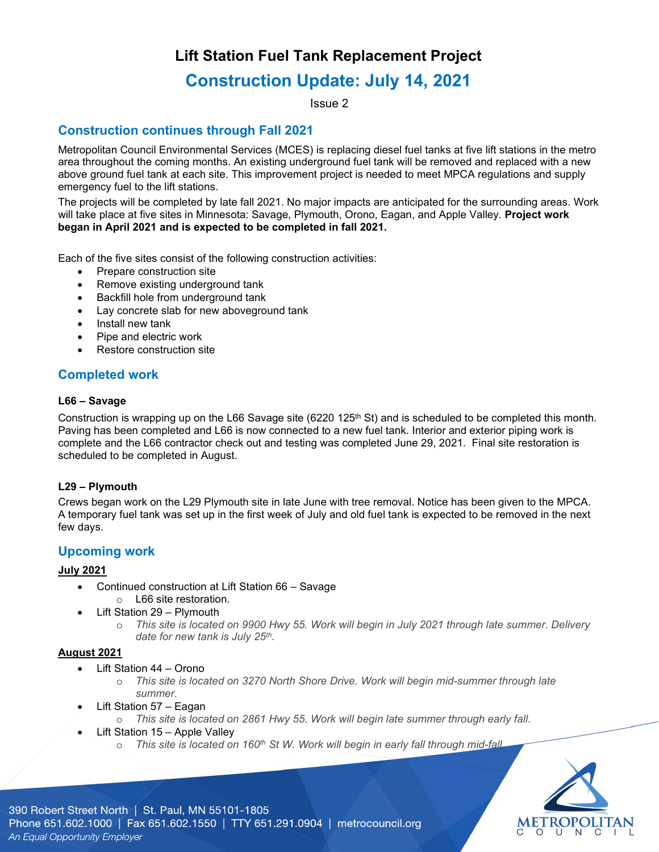## **Lift Station Fuel Tank Replacement Project**

# **Construction Update: July 14, 2021**

Issue 2

## **Construction continues through Fall 2021**

Metropolitan Council Environmental Services (MCES) is replacing diesel fuel tanks at five lift stations in the metro area throughout the coming months. An existing underground fuel tank will be removed and replaced with a new above ground fuel tank at each site. This improvement project is needed to meet MPCA regulations and supply emergency fuel to the lift stations.

The projects will be completed by late fall 2021. No major impacts are anticipated for the surrounding areas. Work will take place at five sites in Minnesota: Savage, Plymouth, Orono, Eagan, and Apple Valley. **Project work began in April 2021 and is expected to be completed in fall 2021.**

Each of the five sites consist of the following construction activities:

- Prepare construction site
- Remove existing underground tank
- Backfill hole from underground tank
- Lay concrete slab for new aboveground tank
- Install new tank
- Pipe and electric work
- Restore construction site

## **Completed work**

#### **L66 – Savage**

Construction is wrapping up on the L66 Savage site (6220 125<sup>th</sup> St) and is scheduled to be completed this month. Paving has been completed and L66 is now connected to a new fuel tank. Interior and exterior piping work is complete and the L66 contractor check out and testing was completed June 29, 2021. Final site restoration is scheduled to be completed in August.

#### **L29 – Plymouth**

Crews began work on the L29 Plymouth site in late June with tree removal. Notice has been given to the MPCA. A temporary fuel tank was set up in the first week of July and old fuel tank is expected to be removed in the next few days.

### **Upcoming work**

#### **July 2021**

- Continued construction at Lift Station 66 Savage o L66 site restoration.
- Lift Station 29 Plymouth
	- o *This site is located on 9900 Hwy 55. Work will begin in July 2021 through late summer. Delivery date for new tank is July 25th.*

#### **August 2021**

- Lift Station 44 Orono
	- o *This site is located on 3270 North Shore Drive. Work will begin mid-summer through late summer.*
- Lift Station 57 Eagan
	- o *This site is located on 2861 Hwy 55. Work will begin late summer through early fall.*
	- Lift Station 15 Apple Valley
		- o *This site is located on 160th St W. Work will begin in early fall through mid-fall.*



390 Robert Street North | St. Paul, MN 55101-1805 Phone 651.602.1000 | Fax 651.602.1550 | TTY 651.291.0904 | metrocouncil.org An Equal Opportunity Employer